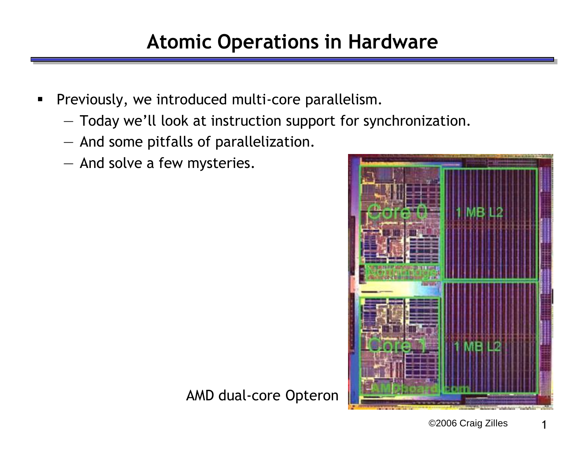- **Previously, we introduced multi-core parallelism.** 
	- Today we'll look at instruction support for synchronization.
	- And some pitfalls of parallelization.
	- And solve a few mysteries.



AMD dual-core Opteron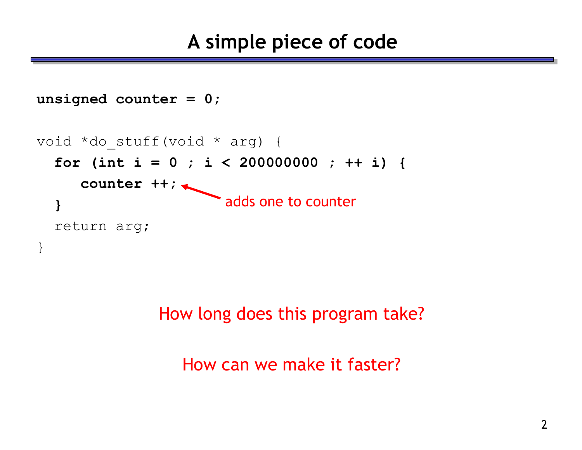```
unsigned counter = 0;
void *do_stuff(void * arg) {
  for (int i = 0 ; i < 200000000 ; ++ i) {
     counter ++;
  }
  return arg;
}
                     adds one to counter
```
How long does this program take?

How can we make it faster?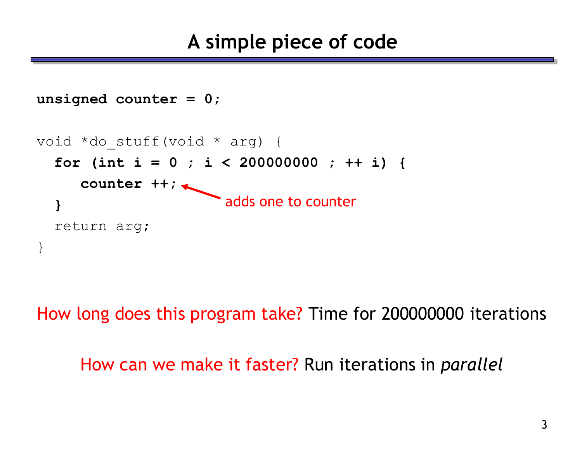```
unsigned counter = 0;
void *do_stuff(void * arg) {
  for (int i = 0 ; i < 200000000 ; ++ i) {
     counter ++;
  }
  return arg;
}
                     adds one to counter
```
How long does this program take? Time for 200000000 iterations

How can we make it faster? Run iterations in *parallel*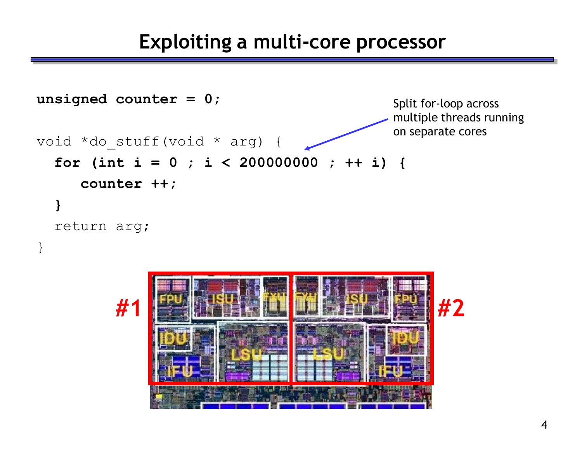#### **Exploiting a multi-core processor**



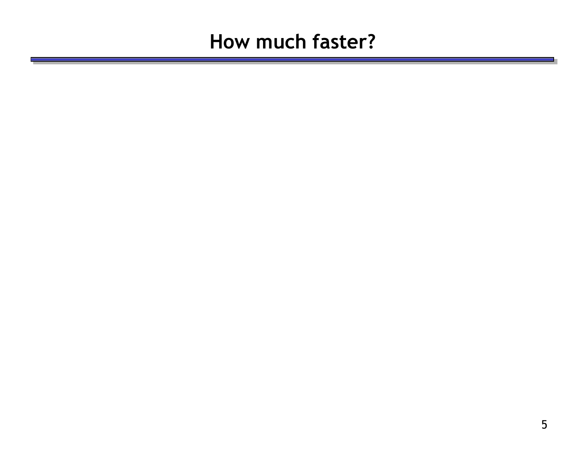## **How much faster?**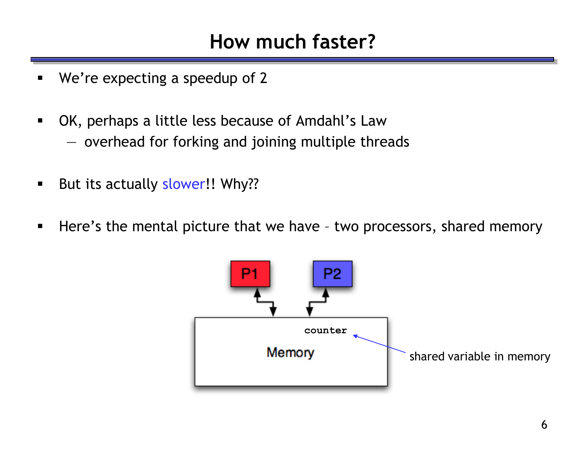## **How much faster?**

- We're expecting a speedup of 2
- OK, perhaps a little less because of Amdahl's Law — overhead for forking and joining multiple threads
- But its actually slower!! Why??
- **Here's the mental picture that we have two processors, shared memory**

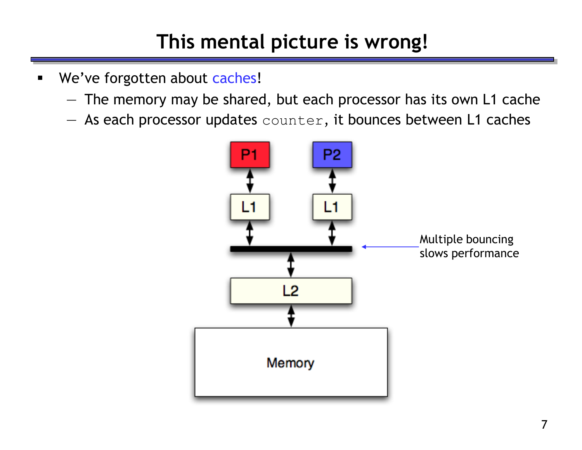# **This mental picture is wrong!**

- **We've forgotten about caches!** 
	- The memory may be shared, but each processor has its own L1 cache
	- $-$  As each processor updates counter, it bounces between L1 caches

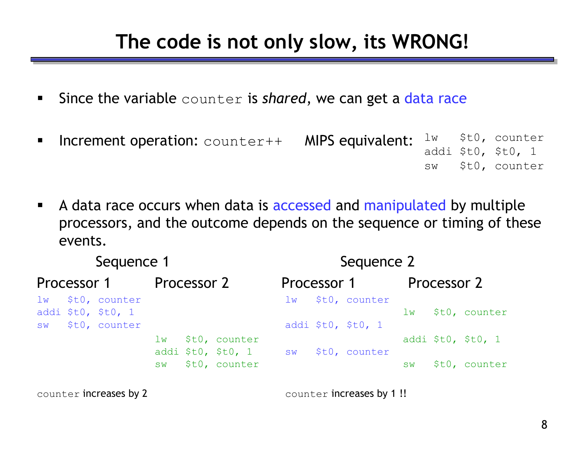## **The code is not only slow, its WRONG!**

- **Since the variable** counter is *shared*, we can get a data race
- Increment operation: counter++ MIPS equivalent: lw \$t0, counter addi \$t0, \$t0, 1 sw \$t0, counter
- A data race occurs when data is accessed and manipulated by multiple processors, and the outcome depends on the sequence or timing of these events.

| Sequence 1  |  |                                                            |             |  |                                     | Sequence 2     |  |                                     |             |  |                    |  |
|-------------|--|------------------------------------------------------------|-------------|--|-------------------------------------|----------------|--|-------------------------------------|-------------|--|--------------------|--|
| Processor 1 |  |                                                            | Processor 2 |  |                                     | Processor 1    |  |                                     | Processor 2 |  |                    |  |
|             |  | lw \$t0, counter<br>addi \$t0, \$t0, 1<br>sw \$t0, counter |             |  |                                     | 1 <sub>w</sub> |  | \$t0, counter<br>addi \$t0, \$t0, 1 | lw          |  | \$t0, counter      |  |
|             |  |                                                            | $\perp$ M   |  | \$t0, counter<br>addi $$t0, $t0, 1$ | SW             |  | \$t0, counter                       |             |  | addi \$t0, \$t0, 1 |  |
|             |  |                                                            | <b>SW</b>   |  | \$t0, counter                       |                |  |                                     | <b>SW</b>   |  | \$t0, counter      |  |

counter increases by 2 counter increases by 1!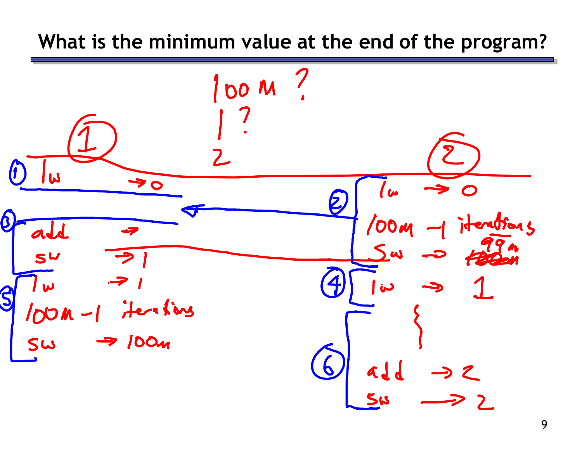#### **What is the minimum value at the end of the program?**

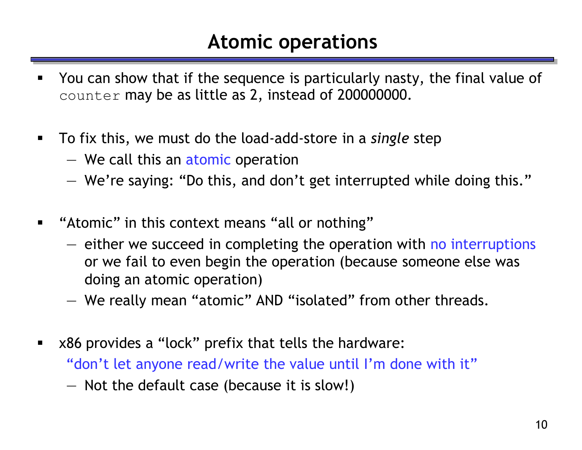## **Atomic operations**

- You can show that if the sequence is particularly nasty, the final value of counter may be as little as 2, instead of 200000000.
- To fix this, we must do the load-add-store in a *single* step
	- We call this an atomic operation
	- We're saying: "Do this, and don't get interrupted while doing this."
- "Atomic" in this context means "all or nothing"
	- either we succeed in completing the operation with no interruptions or we fail to even begin the operation (because someone else was doing an atomic operation)
	- We really mean "atomic" AND "isolated" from other threads.
- x86 provides a "lock" prefix that tells the hardware: "don't let anyone read/write the value until I'm done with it" — Not the default case (because it is slow!)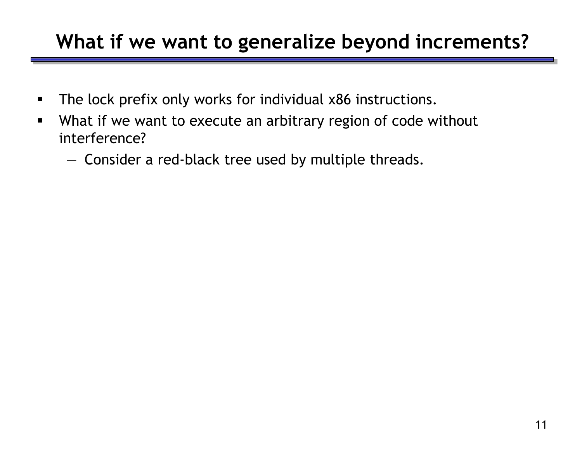## **What if we want to generalize beyond increments?**

- **The lock prefix only works for individual x86 instructions.**
- What if we want to execute an arbitrary region of code without interference?
	- Consider a red-black tree used by multiple threads.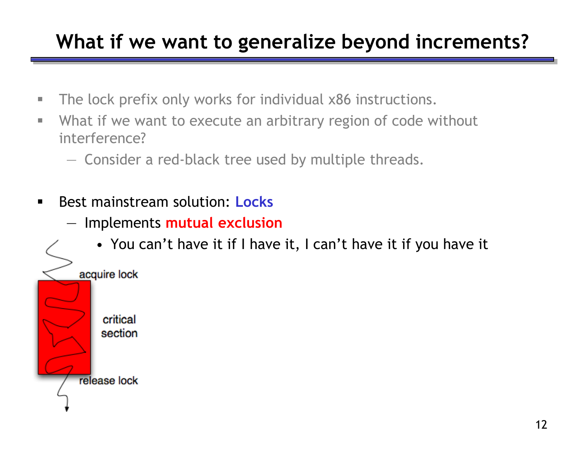# **What if we want to generalize beyond increments?**

- **The lock prefix only works for individual x86 instructions.**
- What if we want to execute an arbitrary region of code without interference?
	- Consider a red-black tree used by multiple threads.
- **Best mainstream solution: Locks** 
	- Implements **mutual exclusion**
		- You can't have it if I have it, I can't have it if you have it

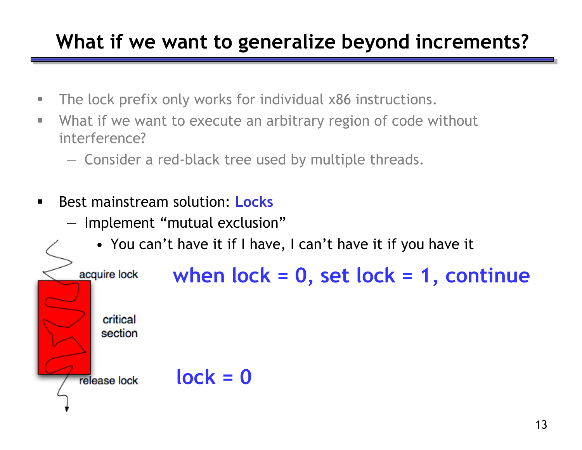# **What if we want to generalize beyond increments?**

- **The lock prefix only works for individual x86 instructions.**
- What if we want to execute an arbitrary region of code without interference?
	- Consider a red-black tree used by multiple threads.
- **Best mainstream solution: Locks** 
	- Implement "mutual exclusion"
		- You can't have it if I have, I can't have it if you have it

```
when lock = 0, set lock = 1, continue
acquire lock
   critical
   section
             lock = 0release lock
```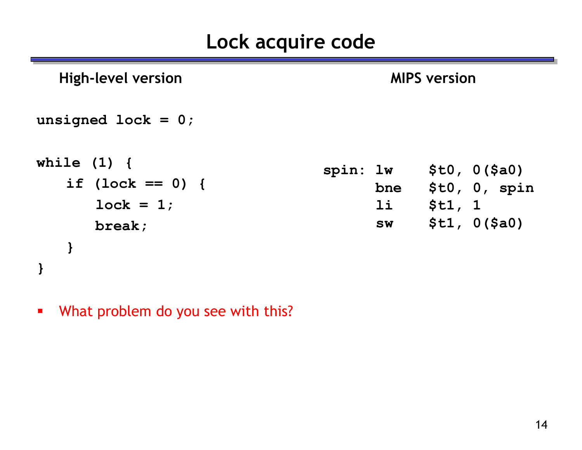# **Lock acquire code**

| <b>High-level version</b>                                                | <b>MIPS version</b>                                                                                |  |  |  |  |  |  |
|--------------------------------------------------------------------------|----------------------------------------------------------------------------------------------------|--|--|--|--|--|--|
| unsigned lock = $0$ ;                                                    |                                                                                                    |  |  |  |  |  |  |
| while $(1)$ {<br>if $(\text{lock} == 0)$ {<br>$lock = 1;$<br>break;<br>} | \$t0, 0 (\$a0)<br>spin: lw<br>\$t0, 0, spin<br>bne<br>11<br>\$t1, 1<br>\$t1, 0 (\$a0)<br><b>SW</b> |  |  |  |  |  |  |
|                                                                          |                                                                                                    |  |  |  |  |  |  |

**What problem do you see with this?**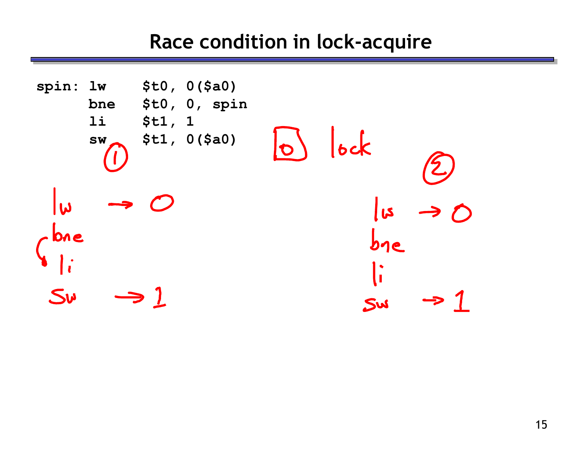## **Race condition in lock-acquire**

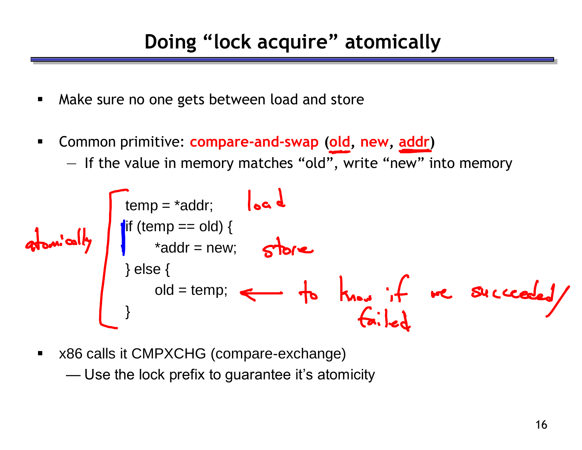- **A** Make sure no one gets between load and store
- Common primitive: **compare-and-swap (old, new, addr)**
	- If the value in memory matches "old", write "new" into memory

$$
a\n\n
$$
b\n\n
$$
b\n\n
$$
c\n\n
$$
c\n\n
$$
d\n\n
$$
c\n\n
$$
d\n\n
$$
e\n\n
$$
e\n\n
$$
e\n\n
$$
e\n\n
$$
e\n\n
$$
e\n\n
$$
e\n\n
$$
e\n\n
$$
e\n\n
$$
e\n\n
$$
e\n\n
$$
e\n\n
$$
e\n\n
$$
e\n\n
$$
e\n\n
$$
e\n\n
$$
e\n\n
$$
e\n\n
$$
e\n\n
$$
e\n\n
$$
e\n\n
$$
e\n\n
$$
e\n\n
$$
e\n\n
$$
e\n\n
$$
e\n\n
$$
e\n\n
$$
e\n\n
$$
e\n\n
$$
e\n\n
$$
e\n\n
$$
e\n\n
$$
e\n\n
$$
e\n\n
$$
e\n\n
$$
e\n\n
$$
e\n\n
$$
e\n\n
$$
e\n\n
$$
e\n\n
$$
e\n\n
$$
e\n\n
$$
e\n\n
$$
e\n\n
$$
e\n\n
$$
e\n\n
$$
e\n\n
$$
e\n\n
$$
e\n\n
$$
e\n\n
$$
e\n\n
$$
e\n\n
$$
e\n\n
$$
e\n\n
$$
e\n\n
$$
e\n\n
$$
e\n\n
$$
e\n\n
$$
e\n\n
$$
e\n\n
$$
e\n\n
$$

$$
$$
$$
$$
$$
$$
$$
$$
$$
$$
$$
$$
$$
$$
$$
$$
$$
$$
$$
$$
$$
$$
$$
$$
$$
$$
$$
$$
$$
$$
$$
$$
$$
$$
$$
$$
$$
$$
$$
$$
$$
$$
$$
$$
$$
$$
$$
$$
$$
$$
$$
$$
$$
$$
$$
$$
$$
$$
$$
$$
$$
$$
$$
$$
$$
$$
$$
$$
$$
$$

**x86 calls it CMPXCHG (compare-exchange)** 

— Use the lock prefix to guarantee it's atomicity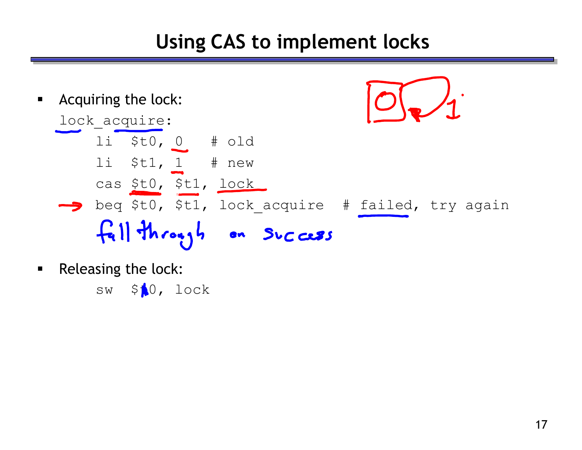# **Using CAS to implement locks**



**Releasing the lock:** 

sw  $$10, 10c$ k